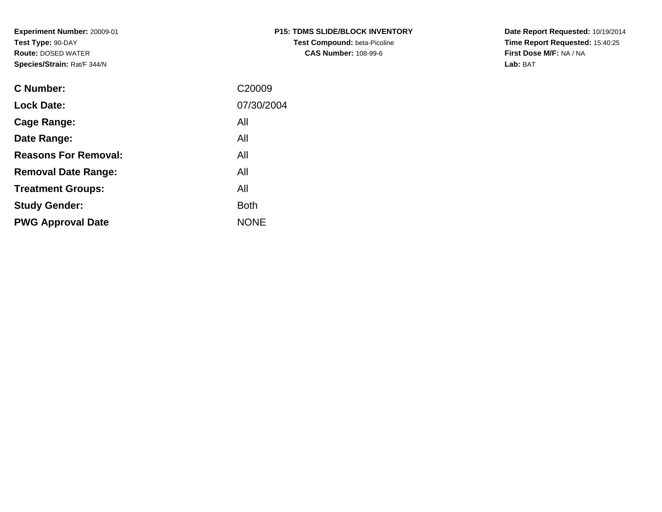**Experiment Number:** 20009-01**Test Type:** 90-DAY **Route:** DOSED WATER**Species/Strain:** Rat/F 344/N

| C Number:                   | C20009      |
|-----------------------------|-------------|
| <b>Lock Date:</b>           | 07/30/2004  |
| Cage Range:                 | All         |
| Date Range:                 | All         |
| <b>Reasons For Removal:</b> | All         |
| <b>Removal Date Range:</b>  | All         |
| <b>Treatment Groups:</b>    | All         |
| <b>Study Gender:</b>        | <b>Both</b> |
| <b>PWG Approval Date</b>    | <b>NONF</b> |
|                             |             |

**P15: TDMS SLIDE/BLOCK INVENTORYTest Compound: beta-Picoline CAS Number:** 108-99-6

**Date Report Requested:** 10/19/2014 **Time Report Requested:** 15:40:25**First Dose M/F:** NA / NA**Lab:** BAT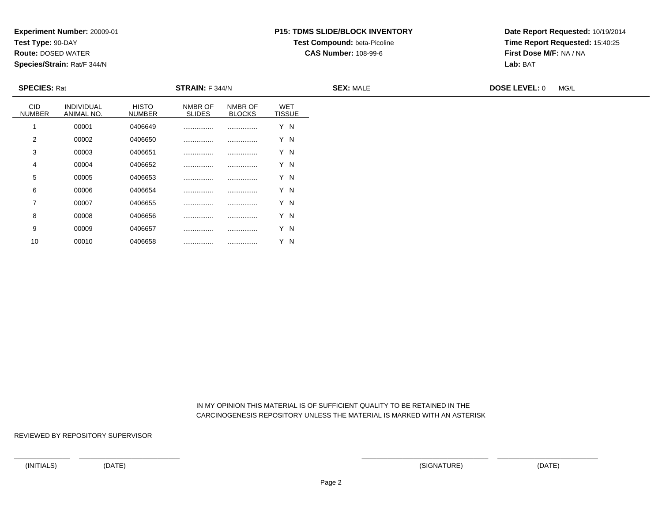**Test Type:** 90-DAY

10

**Route:** DOSED WATER

**Species/Strain:** Rat/F 344/N

### **P15: TDMS SLIDE/BLOCK INVENTORYTest Compound:** beta-Picoline

**CAS Number:** 108-99-6

**Date Report Requested:** 10/19/2014**Time Report Requested:** 15:40:25**First Dose M/F:** NA / NA**Lab:** BAT

| <b>SPECIES: Rat</b>         |                          |                               | STRAIN: F 344/N          |                          |                             | <b>SEX: MALE</b> | <b>DOSE LEVEL: 0</b> | MG/L |
|-----------------------------|--------------------------|-------------------------------|--------------------------|--------------------------|-----------------------------|------------------|----------------------|------|
| <b>CID</b><br><b>NUMBER</b> | INDIVIDUAL<br>ANIMAL NO. | <b>HISTO</b><br><b>NUMBER</b> | NMBR OF<br><b>SLIDES</b> | NMBR OF<br><b>BLOCKS</b> | <b>WET</b><br><b>TISSUE</b> |                  |                      |      |
|                             | 00001                    | 0406649                       |                          |                          | Y N                         |                  |                      |      |
| $\overline{2}$              | 00002                    | 0406650                       |                          |                          | Y N                         |                  |                      |      |
| 3                           | 00003                    | 0406651                       |                          |                          | Y N                         |                  |                      |      |
| 4                           | 00004                    | 0406652                       |                          |                          | Y N                         |                  |                      |      |
| 5                           | 00005                    | 0406653                       |                          |                          | Y N                         |                  |                      |      |
| 6                           | 00006                    | 0406654                       |                          |                          | Y N                         |                  |                      |      |
| $\overline{7}$              | 00007                    | 0406655                       |                          |                          | Y N                         |                  |                      |      |
| 8                           | 00008                    | 0406656                       |                          |                          | Y N                         |                  |                      |      |
| 9                           | 00009                    | 0406657                       |                          |                          | Y N                         |                  |                      |      |

 IN MY OPINION THIS MATERIAL IS OF SUFFICIENT QUALITY TO BE RETAINED IN THECARCINOGENESIS REPOSITORY UNLESS THE MATERIAL IS MARKED WITH AN ASTERISK

REVIEWED BY REPOSITORY SUPERVISOR

<sup>00010</sup> <sup>0406658</sup> ................ ................ Y N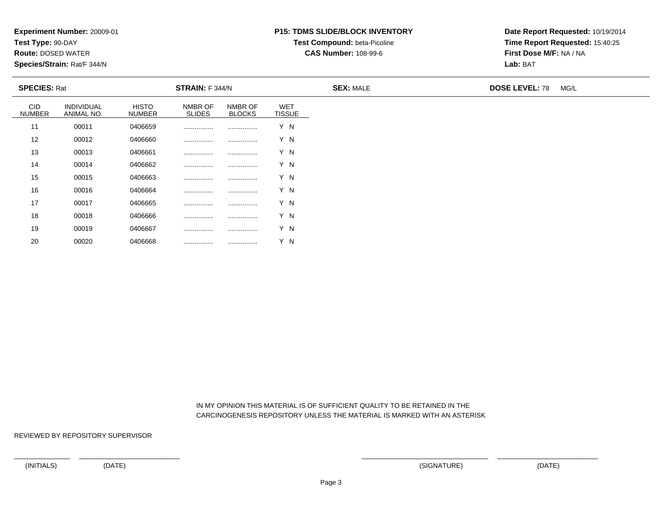**Test Type:** 90-DAY

20

**Route:** DOSED WATER

**Species/Strain:** Rat/F 344/N

### **P15: TDMS SLIDE/BLOCK INVENTORYTest Compound:** beta-Picoline

**CAS Number:** 108-99-6

**Date Report Requested:** 10/19/2014**Time Report Requested:** 15:40:25**First Dose M/F:** NA / NA**Lab:** BAT

|                             | <b>SPECIES: Rat</b>      |                               | <b>STRAIN:</b> F 344/N   |                          |                             | <b>SEX: MALE</b> | <b>DOSE LEVEL: 78</b> | MG/L |
|-----------------------------|--------------------------|-------------------------------|--------------------------|--------------------------|-----------------------------|------------------|-----------------------|------|
| <b>CID</b><br><b>NUMBER</b> | INDIVIDUAL<br>ANIMAL NO. | <b>HISTO</b><br><b>NUMBER</b> | NMBR OF<br><b>SLIDES</b> | NMBR OF<br><b>BLOCKS</b> | <b>WET</b><br><b>TISSUE</b> |                  |                       |      |
| 11                          | 00011                    | 0406659                       |                          |                          | Y N                         |                  |                       |      |
| 12                          | 00012                    | 0406660                       | .                        |                          | Y N                         |                  |                       |      |
| 13                          | 00013                    | 0406661                       |                          |                          | Y N                         |                  |                       |      |
| 14                          | 00014                    | 0406662                       |                          |                          | Y N                         |                  |                       |      |
| 15                          | 00015                    | 0406663                       |                          |                          | Y N                         |                  |                       |      |
| 16                          | 00016                    | 0406664                       | .                        |                          | Y N                         |                  |                       |      |
| 17                          | 00017                    | 0406665                       |                          |                          | Y N                         |                  |                       |      |
| 18                          | 00018                    | 0406666                       |                          |                          | Y N                         |                  |                       |      |
| 19                          | 00019                    | 0406667                       |                          |                          | Y N                         |                  |                       |      |

 IN MY OPINION THIS MATERIAL IS OF SUFFICIENT QUALITY TO BE RETAINED IN THECARCINOGENESIS REPOSITORY UNLESS THE MATERIAL IS MARKED WITH AN ASTERISK

REVIEWED BY REPOSITORY SUPERVISOR

<sup>00020</sup> <sup>0406668</sup> ................ ................ Y N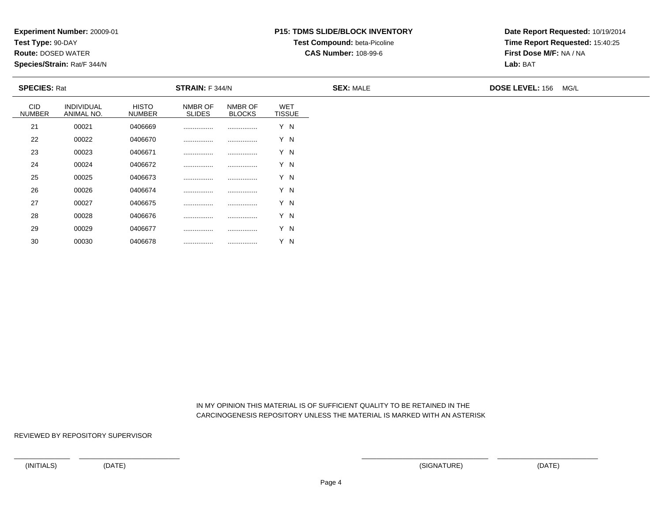**Test Type:** 90-DAY

30

**Route:** DOSED WATER

**Species/Strain:** Rat/F 344/N

# **P15: TDMS SLIDE/BLOCK INVENTORYTest Compound:** beta-Picoline

**CAS Number:** 108-99-6

**Date Report Requested:** 10/19/2014**Time Report Requested:** 15:40:25**First Dose M/F:** NA / NA**Lab:** BAT

| <b>SPECIES: Rat</b>         |                          |                               | STRAIN: F 344/N          |                          |                             | <b>SEX: MALE</b> | <b>DOSE LEVEL: 156</b><br>MG/L |
|-----------------------------|--------------------------|-------------------------------|--------------------------|--------------------------|-----------------------------|------------------|--------------------------------|
| <b>CID</b><br><b>NUMBER</b> | INDIVIDUAL<br>ANIMAL NO. | <b>HISTO</b><br><b>NUMBER</b> | NMBR OF<br><b>SLIDES</b> | NMBR OF<br><b>BLOCKS</b> | <b>WET</b><br><b>TISSUE</b> |                  |                                |
| 21                          | 00021                    | 0406669                       |                          |                          | Y N                         |                  |                                |
| 22                          | 00022                    | 0406670                       |                          |                          | Y N                         |                  |                                |
| 23                          | 00023                    | 0406671                       |                          |                          | Y N                         |                  |                                |
| 24                          | 00024                    | 0406672                       |                          |                          | Y N                         |                  |                                |
| 25                          | 00025                    | 0406673                       |                          |                          | Y N                         |                  |                                |
| 26                          | 00026                    | 0406674                       |                          |                          | Y N                         |                  |                                |
| 27                          | 00027                    | 0406675                       |                          |                          | Y N                         |                  |                                |
| 28                          | 00028                    | 0406676                       |                          |                          | Y N                         |                  |                                |
| 29                          | 00029                    | 0406677                       |                          |                          | Y N                         |                  |                                |

 IN MY OPINION THIS MATERIAL IS OF SUFFICIENT QUALITY TO BE RETAINED IN THECARCINOGENESIS REPOSITORY UNLESS THE MATERIAL IS MARKED WITH AN ASTERISK

REVIEWED BY REPOSITORY SUPERVISOR

<sup>00030</sup> <sup>0406678</sup> ................ ................ Y N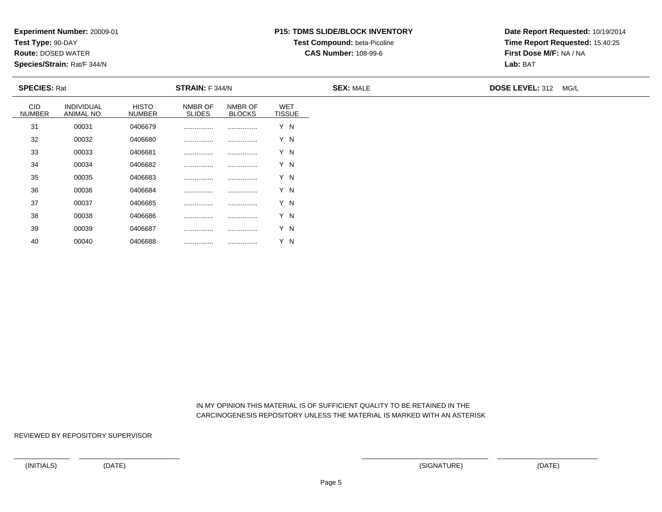**Test Type:** 90-DAY

40

**Route:** DOSED WATER

**Species/Strain:** Rat/F 344/N

# **P15: TDMS SLIDE/BLOCK INVENTORYTest Compound:** beta-Picoline

**CAS Number:** 108-99-6

**Date Report Requested:** 10/19/2014**Time Report Requested:** 15:40:25**First Dose M/F:** NA / NA**Lab:** BAT

| <b>SPECIES: Rat</b>         |                          |                               | <b>STRAIN:</b> F 344/N   |                          |                             | <b>SEX: MALE</b> | DOSE LEVEL: 312 MG/L |
|-----------------------------|--------------------------|-------------------------------|--------------------------|--------------------------|-----------------------------|------------------|----------------------|
| <b>CID</b><br><b>NUMBER</b> | INDIVIDUAL<br>ANIMAL NO. | <b>HISTO</b><br><b>NUMBER</b> | NMBR OF<br><b>SLIDES</b> | NMBR OF<br><b>BLOCKS</b> | <b>WET</b><br><b>TISSUE</b> |                  |                      |
| 31                          | 00031                    | 0406679                       | .                        |                          | Y N                         |                  |                      |
| 32                          | 00032                    | 0406680                       | .                        | .                        | Y N                         |                  |                      |
| 33                          | 00033                    | 0406681                       |                          |                          | Y N                         |                  |                      |
| 34                          | 00034                    | 0406682                       |                          |                          | Y N                         |                  |                      |
| 35                          | 00035                    | 0406683                       |                          |                          | Y N                         |                  |                      |
| 36                          | 00036                    | 0406684                       | .                        |                          | Y N                         |                  |                      |
| 37                          | 00037                    | 0406685                       | .                        |                          | Y N                         |                  |                      |
| 38                          | 00038                    | 0406686                       | .                        |                          | Y N                         |                  |                      |
| 39                          | 00039                    | 0406687                       |                          |                          | Y N                         |                  |                      |

 IN MY OPINION THIS MATERIAL IS OF SUFFICIENT QUALITY TO BE RETAINED IN THECARCINOGENESIS REPOSITORY UNLESS THE MATERIAL IS MARKED WITH AN ASTERISK

REVIEWED BY REPOSITORY SUPERVISOR

<sup>00040</sup> <sup>0406688</sup> ................ ................ Y N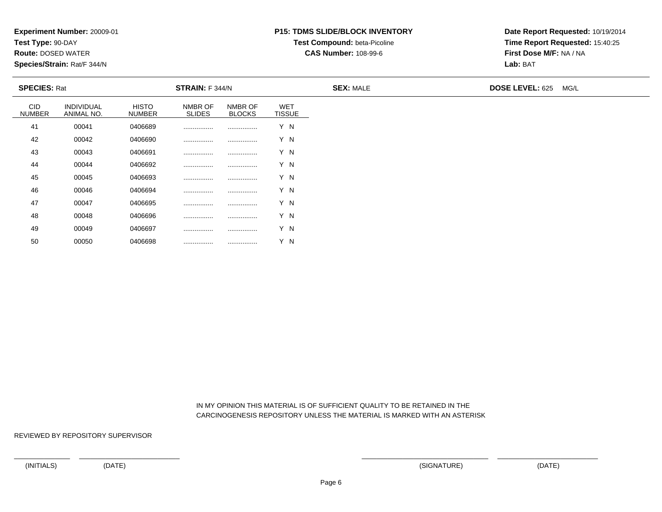**Test Type:** 90-DAY

50

**Route:** DOSED WATER

**Species/Strain:** Rat/F 344/N

# **P15: TDMS SLIDE/BLOCK INVENTORYTest Compound:** beta-Picoline

**CAS Number:** 108-99-6

**Date Report Requested:** 10/19/2014**Time Report Requested:** 15:40:25**First Dose M/F:** NA / NA**Lab:** BAT

|                             | <b>SPECIES: Rat</b>      |                               | <b>STRAIN:</b> F 344/N   |                          |                             | <b>SEX: MALE</b> | DOSE LEVEL: 625 MG/L |
|-----------------------------|--------------------------|-------------------------------|--------------------------|--------------------------|-----------------------------|------------------|----------------------|
| <b>CID</b><br><b>NUMBER</b> | INDIVIDUAL<br>ANIMAL NO. | <b>HISTO</b><br><b>NUMBER</b> | NMBR OF<br><b>SLIDES</b> | NMBR OF<br><b>BLOCKS</b> | <b>WET</b><br><b>TISSUE</b> |                  |                      |
| 41                          | 00041                    | 0406689                       | .                        |                          | Y N                         |                  |                      |
| 42                          | 00042                    | 0406690                       | .                        | .                        | Y N                         |                  |                      |
| 43                          | 00043                    | 0406691                       |                          |                          | Y N                         |                  |                      |
| 44                          | 00044                    | 0406692                       |                          |                          | Y N                         |                  |                      |
| 45                          | 00045                    | 0406693                       |                          |                          | Y N                         |                  |                      |
| 46                          | 00046                    | 0406694                       | .                        |                          | Y N                         |                  |                      |
| 47                          | 00047                    | 0406695                       | .                        |                          | Y N                         |                  |                      |
| 48                          | 00048                    | 0406696                       | .                        |                          | Y N                         |                  |                      |
| 49                          | 00049                    | 0406697                       | .                        |                          | Y N                         |                  |                      |

 IN MY OPINION THIS MATERIAL IS OF SUFFICIENT QUALITY TO BE RETAINED IN THECARCINOGENESIS REPOSITORY UNLESS THE MATERIAL IS MARKED WITH AN ASTERISK

REVIEWED BY REPOSITORY SUPERVISOR

<sup>00050</sup> <sup>0406698</sup> ................ ................ Y N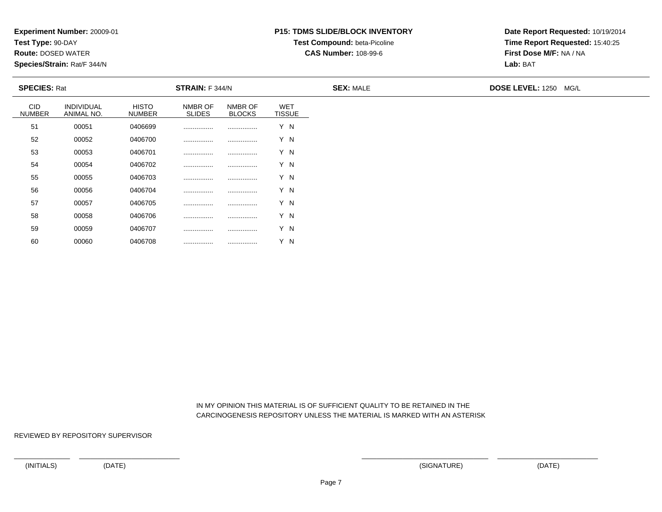**Test Type:** 90-DAY

60

**Route:** DOSED WATER

**Species/Strain:** Rat/F 344/N

# **P15: TDMS SLIDE/BLOCK INVENTORYTest Compound:** beta-Picoline

**CAS Number:** 108-99-6

**Date Report Requested:** 10/19/2014**Time Report Requested:** 15:40:25**First Dose M/F:** NA / NA**Lab:** BAT

| <b>SPECIES: Rat</b>         |                          |                               | STRAIN: F 344/N          |                          |                             | <b>SEX: MALE</b> | DOSE LEVEL: 1250 MG/L |
|-----------------------------|--------------------------|-------------------------------|--------------------------|--------------------------|-----------------------------|------------------|-----------------------|
| <b>CID</b><br><b>NUMBER</b> | INDIVIDUAL<br>ANIMAL NO. | <b>HISTO</b><br><b>NUMBER</b> | NMBR OF<br><b>SLIDES</b> | NMBR OF<br><b>BLOCKS</b> | <b>WET</b><br><b>TISSUE</b> |                  |                       |
| 51                          | 00051                    | 0406699                       |                          |                          | Y N                         |                  |                       |
| 52                          | 00052                    | 0406700                       |                          | .                        | Y N                         |                  |                       |
| 53                          | 00053                    | 0406701                       |                          |                          | Y N                         |                  |                       |
| 54                          | 00054                    | 0406702                       |                          |                          | Y N                         |                  |                       |
| 55                          | 00055                    | 0406703                       |                          |                          | Y N                         |                  |                       |
| 56                          | 00056                    | 0406704                       | .                        |                          | Y N                         |                  |                       |
| 57                          | 00057                    | 0406705                       | .                        |                          | Y N                         |                  |                       |
| 58                          | 00058                    | 0406706                       |                          |                          | Y N                         |                  |                       |
| 59                          | 00059                    | 0406707                       | .                        |                          | Y N                         |                  |                       |

 IN MY OPINION THIS MATERIAL IS OF SUFFICIENT QUALITY TO BE RETAINED IN THECARCINOGENESIS REPOSITORY UNLESS THE MATERIAL IS MARKED WITH AN ASTERISK

REVIEWED BY REPOSITORY SUPERVISOR

<sup>00060</sup> <sup>0406708</sup> ................ ................ Y N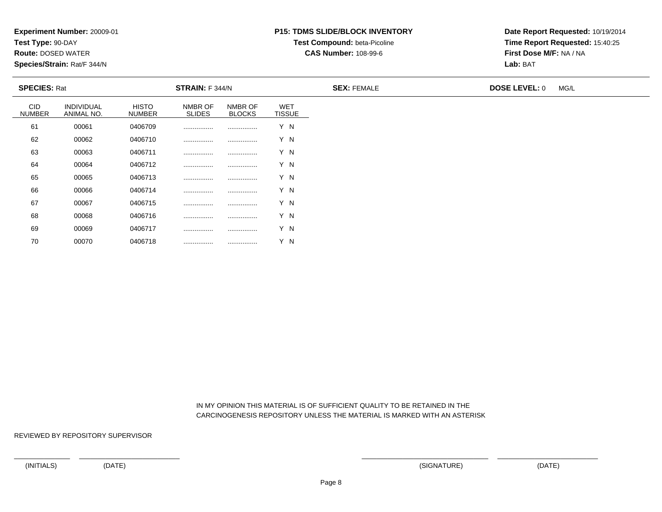**Test Type:** 90-DAY

70

**Route:** DOSED WATER

**Species/Strain:** Rat/F 344/N

# **P15: TDMS SLIDE/BLOCK INVENTORYTest Compound:** beta-Picoline

**CAS Number:** 108-99-6

**Date Report Requested:** 10/19/2014**Time Report Requested:** 15:40:25**First Dose M/F:** NA / NA**Lab:** BAT

|                             | <b>SPECIES: Rat</b>      |                               | <b>STRAIN: F 344/N</b>   |                          |                             | <b>SEX: FEMALE</b> | <b>DOSE LEVEL: 0</b> | MG/L |
|-----------------------------|--------------------------|-------------------------------|--------------------------|--------------------------|-----------------------------|--------------------|----------------------|------|
| <b>CID</b><br><b>NUMBER</b> | INDIVIDUAL<br>ANIMAL NO. | <b>HISTO</b><br><b>NUMBER</b> | NMBR OF<br><b>SLIDES</b> | NMBR OF<br><b>BLOCKS</b> | <b>WET</b><br><b>TISSUE</b> |                    |                      |      |
| 61                          | 00061                    | 0406709                       | .                        |                          | Y N                         |                    |                      |      |
| 62                          | 00062                    | 0406710                       |                          |                          | Y N                         |                    |                      |      |
| 63                          | 00063                    | 0406711                       | .                        |                          | Y N                         |                    |                      |      |
| 64                          | 00064                    | 0406712                       |                          |                          | Y N                         |                    |                      |      |
| 65                          | 00065                    | 0406713                       |                          |                          | Y N                         |                    |                      |      |
| 66                          | 00066                    | 0406714                       |                          |                          | Y N                         |                    |                      |      |
| 67                          | 00067                    | 0406715                       |                          |                          | Y N                         |                    |                      |      |
| 68                          | 00068                    | 0406716                       |                          |                          | Y N                         |                    |                      |      |
| 69                          | 00069                    | 0406717                       |                          |                          | Y N                         |                    |                      |      |

 IN MY OPINION THIS MATERIAL IS OF SUFFICIENT QUALITY TO BE RETAINED IN THECARCINOGENESIS REPOSITORY UNLESS THE MATERIAL IS MARKED WITH AN ASTERISK

REVIEWED BY REPOSITORY SUPERVISOR

<sup>00070</sup> <sup>0406718</sup> ................ ................ Y N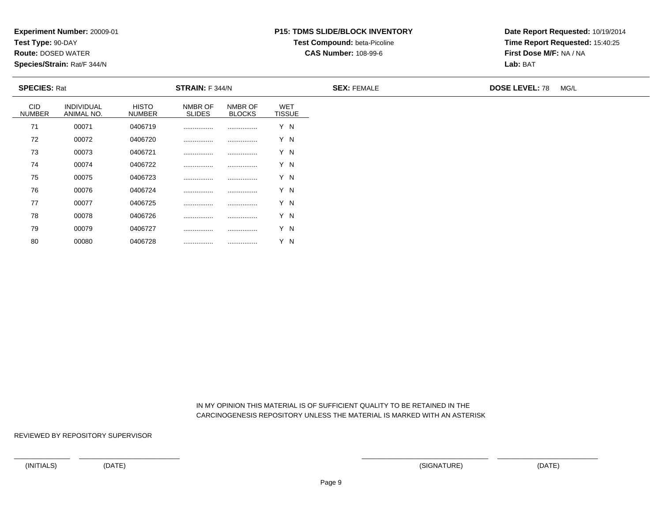**Test Type:** 90-DAY

80

**Route:** DOSED WATER

**Species/Strain:** Rat/F 344/N

# **P15: TDMS SLIDE/BLOCK INVENTORYTest Compound:** beta-Picoline

**CAS Number:** 108-99-6

**Date Report Requested:** 10/19/2014**Time Report Requested:** 15:40:25**First Dose M/F:** NA / NA**Lab:** BAT

| <b>SPECIES: Rat</b>         |                                 |                               | <b>STRAIN:</b> F 344/N   |                          |                             | <b>SEX: FEMALE</b> | <b>DOSE LEVEL: 78</b> | MG/L |
|-----------------------------|---------------------------------|-------------------------------|--------------------------|--------------------------|-----------------------------|--------------------|-----------------------|------|
| <b>CID</b><br><b>NUMBER</b> | <b>INDIVIDUAL</b><br>ANIMAL NO. | <b>HISTO</b><br><b>NUMBER</b> | NMBR OF<br><b>SLIDES</b> | NMBR OF<br><b>BLOCKS</b> | <b>WET</b><br><b>TISSUE</b> |                    |                       |      |
| 71                          | 00071                           | 0406719                       |                          |                          | Y N                         |                    |                       |      |
| 72                          | 00072                           | 0406720                       |                          |                          | Y N                         |                    |                       |      |
| 73                          | 00073                           | 0406721                       |                          |                          | Y N                         |                    |                       |      |
| 74                          | 00074                           | 0406722                       |                          |                          | Y N                         |                    |                       |      |
| 75                          | 00075                           | 0406723                       |                          |                          | Y N                         |                    |                       |      |
| 76                          | 00076                           | 0406724                       |                          |                          | Y N                         |                    |                       |      |
| 77                          | 00077                           | 0406725                       |                          |                          | Y N                         |                    |                       |      |
| 78                          | 00078                           | 0406726                       |                          |                          | Y N                         |                    |                       |      |
| 79                          | 00079                           | 0406727                       |                          |                          | Y N                         |                    |                       |      |

 IN MY OPINION THIS MATERIAL IS OF SUFFICIENT QUALITY TO BE RETAINED IN THECARCINOGENESIS REPOSITORY UNLESS THE MATERIAL IS MARKED WITH AN ASTERISK

REVIEWED BY REPOSITORY SUPERVISOR

<sup>00080</sup> <sup>0406728</sup> ................ ................ Y N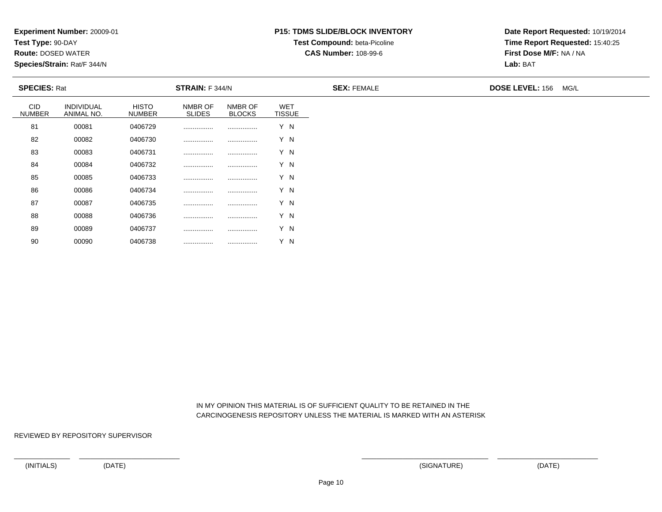**Test Type:** 90-DAY

90

**Route:** DOSED WATER

**Species/Strain:** Rat/F 344/N

# **P15: TDMS SLIDE/BLOCK INVENTORYTest Compound:** beta-Picoline

**CAS Number:** 108-99-6

**Date Report Requested:** 10/19/2014**Time Report Requested:** 15:40:25**First Dose M/F:** NA / NA**Lab:** BAT

| <b>SPECIES: Rat</b>         |                                 |                               | <b>STRAIN: F 344/N</b>   |                          |                             | <b>SEX: FEMALE</b> | <b>DOSE LEVEL: 156</b><br>MG/L |
|-----------------------------|---------------------------------|-------------------------------|--------------------------|--------------------------|-----------------------------|--------------------|--------------------------------|
| <b>CID</b><br><b>NUMBER</b> | <b>INDIVIDUAL</b><br>ANIMAL NO. | <b>HISTO</b><br><b>NUMBER</b> | NMBR OF<br><b>SLIDES</b> | NMBR OF<br><b>BLOCKS</b> | <b>WET</b><br><b>TISSUE</b> |                    |                                |
| 81                          | 00081                           | 0406729                       |                          |                          | Y N                         |                    |                                |
| 82                          | 00082                           | 0406730                       |                          |                          | Y N                         |                    |                                |
| 83                          | 00083                           | 0406731                       |                          | .                        | Y N                         |                    |                                |
| 84                          | 00084                           | 0406732                       |                          |                          | Y N                         |                    |                                |
| 85                          | 00085                           | 0406733                       | .                        |                          | Y N                         |                    |                                |
| 86                          | 00086                           | 0406734                       |                          |                          | Y N                         |                    |                                |
| 87                          | 00087                           | 0406735                       |                          |                          | Y N                         |                    |                                |
| 88                          | 00088                           | 0406736                       |                          |                          | Y N                         |                    |                                |
| 89                          | 00089                           | 0406737                       |                          |                          | Y N                         |                    |                                |

 IN MY OPINION THIS MATERIAL IS OF SUFFICIENT QUALITY TO BE RETAINED IN THECARCINOGENESIS REPOSITORY UNLESS THE MATERIAL IS MARKED WITH AN ASTERISK

REVIEWED BY REPOSITORY SUPERVISOR

<sup>00090</sup> <sup>0406738</sup> ................ ................ Y N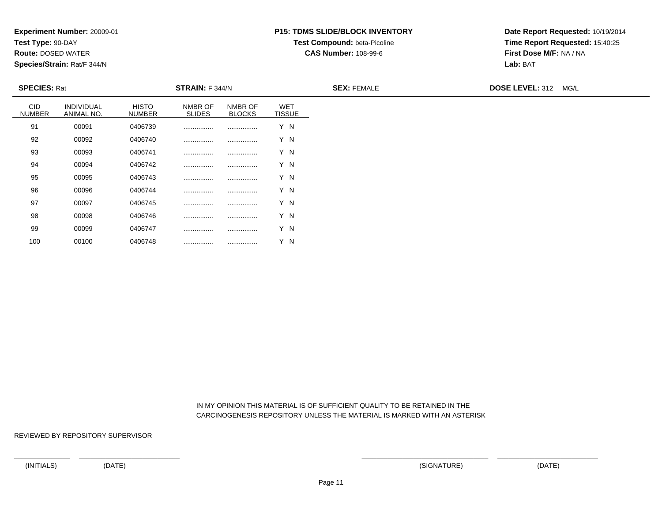**Test Type:** 90-DAY

100

**Route:** DOSED WATER

**Species/Strain:** Rat/F 344/N

# **P15: TDMS SLIDE/BLOCK INVENTORYTest Compound:** beta-Picoline

**CAS Number:** 108-99-6

**Date Report Requested:** 10/19/2014**Time Report Requested:** 15:40:25**First Dose M/F:** NA / NA**Lab:** BAT

| <b>SPECIES: Rat</b>         |                          |                               | STRAIN: F 344/N          |                          |                             | <b>SEX: FEMALE</b> | <b>DOSE LEVEL: 312 MG/L</b> |
|-----------------------------|--------------------------|-------------------------------|--------------------------|--------------------------|-----------------------------|--------------------|-----------------------------|
| <b>CID</b><br><b>NUMBER</b> | INDIVIDUAL<br>ANIMAL NO. | <b>HISTO</b><br><b>NUMBER</b> | NMBR OF<br><b>SLIDES</b> | NMBR OF<br><b>BLOCKS</b> | <b>WET</b><br><b>TISSUE</b> |                    |                             |
| 91                          | 00091                    | 0406739                       |                          |                          | Y N                         |                    |                             |
| 92                          | 00092                    | 0406740                       |                          |                          | Y N                         |                    |                             |
| 93                          | 00093                    | 0406741                       |                          |                          | Y N                         |                    |                             |
| 94                          | 00094                    | 0406742                       |                          |                          | Y N                         |                    |                             |
| 95                          | 00095                    | 0406743                       |                          |                          | Y N                         |                    |                             |
| 96                          | 00096                    | 0406744                       |                          |                          | Y N                         |                    |                             |
| 97                          | 00097                    | 0406745                       |                          |                          | Y N                         |                    |                             |
| 98                          | 00098                    | 0406746                       |                          |                          | Y N                         |                    |                             |
| 99                          | 00099                    | 0406747                       |                          |                          | Y N                         |                    |                             |

 IN MY OPINION THIS MATERIAL IS OF SUFFICIENT QUALITY TO BE RETAINED IN THECARCINOGENESIS REPOSITORY UNLESS THE MATERIAL IS MARKED WITH AN ASTERISK

REVIEWED BY REPOSITORY SUPERVISOR

<sup>00100</sup> <sup>0406748</sup> ................ ................ Y N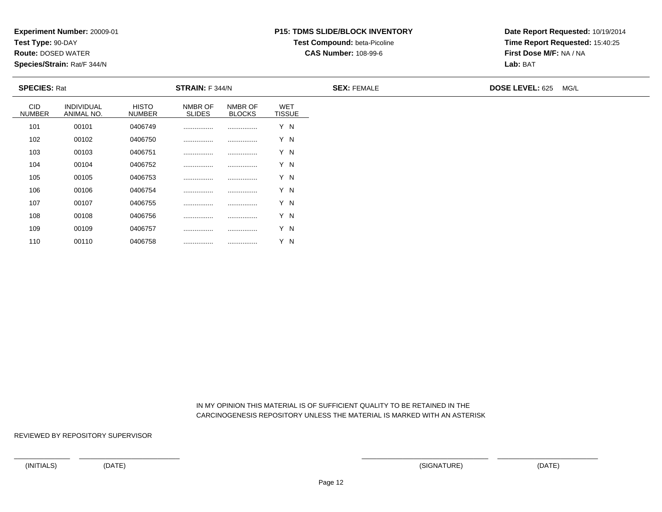**Test Type:** 90-DAY

110

**Route:** DOSED WATER

**Species/Strain:** Rat/F 344/N

# **P15: TDMS SLIDE/BLOCK INVENTORYTest Compound:** beta-Picoline

**CAS Number:** 108-99-6

**Date Report Requested:** 10/19/2014**Time Report Requested:** 15:40:25**First Dose M/F:** NA / NA**Lab:** BAT

| <b>SPECIES: Rat</b>         |                          |                               | STRAIN: F 344/N          |                          |                             | <b>SEX: FEMALE</b> | DOSE LEVEL: 625 MG/L |
|-----------------------------|--------------------------|-------------------------------|--------------------------|--------------------------|-----------------------------|--------------------|----------------------|
| <b>CID</b><br><b>NUMBER</b> | INDIVIDUAL<br>ANIMAL NO. | <b>HISTO</b><br><b>NUMBER</b> | NMBR OF<br><b>SLIDES</b> | NMBR OF<br><b>BLOCKS</b> | <b>WET</b><br><b>TISSUE</b> |                    |                      |
| 101                         | 00101                    | 0406749                       |                          |                          | Y N                         |                    |                      |
| 102                         | 00102                    | 0406750                       |                          |                          | Y N                         |                    |                      |
| 103                         | 00103                    | 0406751                       |                          |                          | Y N                         |                    |                      |
| 104                         | 00104                    | 0406752                       |                          |                          | Y N                         |                    |                      |
| 105                         | 00105                    | 0406753                       |                          |                          | Y N                         |                    |                      |
| 106                         | 00106                    | 0406754                       |                          |                          | Y N                         |                    |                      |
| 107                         | 00107                    | 0406755                       | .                        |                          | Y N                         |                    |                      |
| 108                         | 00108                    | 0406756                       | .                        |                          | Y N                         |                    |                      |
| 109                         | 00109                    | 0406757                       | .                        |                          | Y N                         |                    |                      |

 IN MY OPINION THIS MATERIAL IS OF SUFFICIENT QUALITY TO BE RETAINED IN THECARCINOGENESIS REPOSITORY UNLESS THE MATERIAL IS MARKED WITH AN ASTERISK

REVIEWED BY REPOSITORY SUPERVISOR

<sup>00110</sup> <sup>0406758</sup> ................ ................ Y N